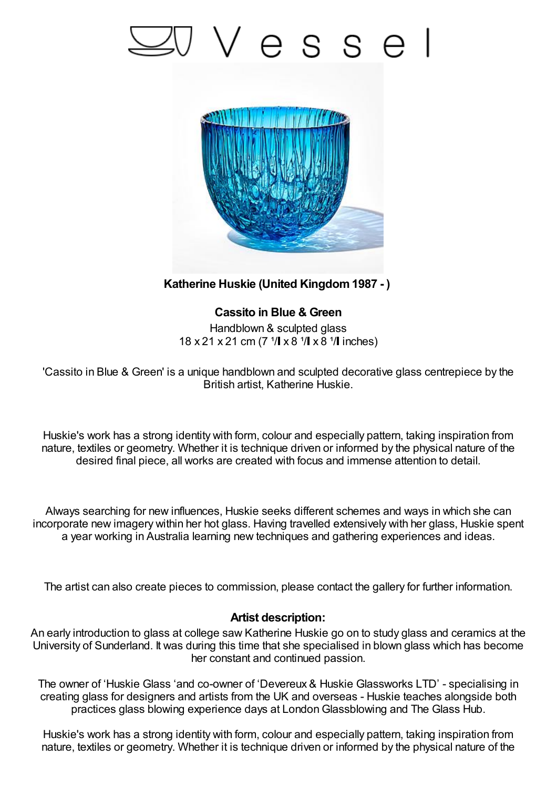## Vesse



**Katherine Huskie (United Kingdom1987 - )**

**Cassito in Blue & Green** Handblown & sculpted glass 18 x 21 x 21 cm (7  $1/$  x 8  $1/$  x 8  $1/$  inches)

'Cassito in Blue & Green' is a unique handblown and sculpted decorative glass centrepiece by the British artist, Katherine Huskie.

Huskie's work has a strong identity with form, colour and especially pattern, taking inspiration from nature, textiles or geometry. Whether it is technique driven or informed by the physical nature of the desired final piece, all works are created with focus and immense attention to detail.

Always searching for new influences, Huskie seeks different schemes and ways in which she can incorporate new imagery within her hot glass. Having travelled extensively with her glass, Huskie spent a year working in Australia learning new techniques and gathering experiences and ideas.

The artist can also create pieces to commission, please contact the gallery for further information.

## **Artist description:**

An early introduction to glass at college saw Katherine Huskie go on to study glass and ceramics at the University of Sunderland. It was during this time that she specialised in blown glass which has become her constant and continued passion.

The owner of 'Huskie Glass 'and co-owner of 'Devereux & Huskie Glassworks LTD' - specialising in creating glass for designers and artists from the UK and overseas - Huskie teaches alongside both practices glass blowing experience days at LondonGlassblowing and The Glass Hub.

Huskie's work has a strong identity with form, colour and especially pattern, taking inspiration from nature, textiles or geometry. Whether it is technique driven or informed by the physical nature of the